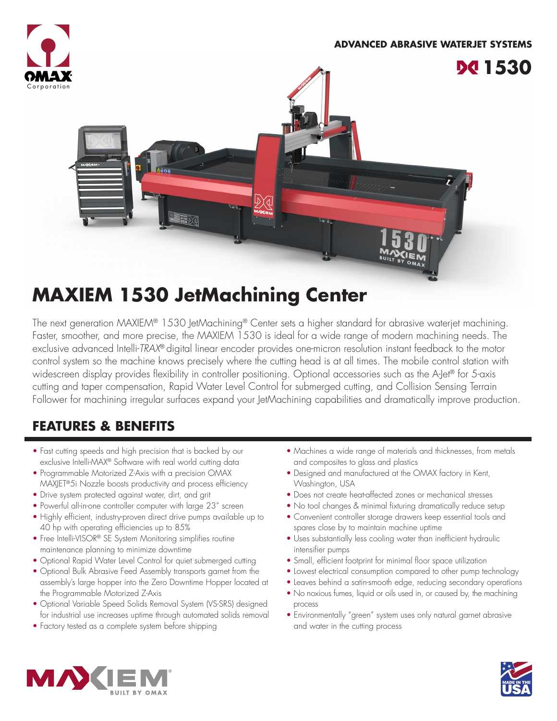

# **MAXIEM 1530 JetMachining Center**

The next generation MAXIEM® 1530 JetMachining® Center sets a higher standard for abrasive waterjet machining. Faster, smoother, and more precise, the MAXIEM 1530 is ideal for a wide range of modern machining needs. The exclusive advanced Intelli-*TRAX*® digital linear encoder provides one-micron resolution instant feedback to the motor control system so the machine knows precisely where the cutting head is at all times. The mobile control station with widescreen display provides flexibility in controller positioning. Optional accessories such as the A-Jet® for 5-axis cutting and taper compensation, Rapid Water Level Control for submerged cutting, and Collision Sensing Terrain Follower for machining irregular surfaces expand your JetMachining capabilities and dramatically improve production.

## **FEATURES & BENEFITS**

- Fast cutting speeds and high precision that is backed by our exclusive Intelli-MAX® Software with real world cutting data
- Programmable Motorized Z-Axis with a precision OMAX MAXJET®5i Nozzle boosts productivity and process efficiency
- Drive system protected against water, dirt, and grit
- Powerful all-in-one controller computer with large 23" screen
- Highly efficient, industry-proven direct drive pumps available up to 40 hp with operating efficiencies up to 85%
- Free Intelli-VISOR® SE System Monitoring simplifies routine maintenance planning to minimize downtime
- Optional Rapid Water Level Control for quiet submerged cutting
- Optional Bulk Abrasive Feed Assembly transports garnet from the assembly's large hopper into the Zero Downtime Hopper located at the Programmable Motorized Z-Axis
- Optional Variable Speed Solids Removal System (VS-SRS) designed for industrial use increases uptime through automated solids removal
- Factory tested as a complete system before shipping
- Machines a wide range of materials and thicknesses, from metals and composites to glass and plastics
- Designed and manufactured at the OMAX factory in Kent, Washington, USA
- Does not create heat-affected zones or mechanical stresses
- No tool changes & minimal fixturing dramatically reduce setup
- Convenient controller storage drawers keep essential tools and spares close by to maintain machine uptime
- Uses substantially less cooling water than inefficient hydraulic intensifier pumps
- Small, efficient footprint for minimal floor space utilization
- Lowest electrical consumption compared to other pump technology
- Leaves behind a satin-smooth edge, reducing secondary operations
- No noxious fumes, liquid or oils used in, or caused by, the machining process
- Environmentally "green" system uses only natural garnet abrasive and water in the cutting process